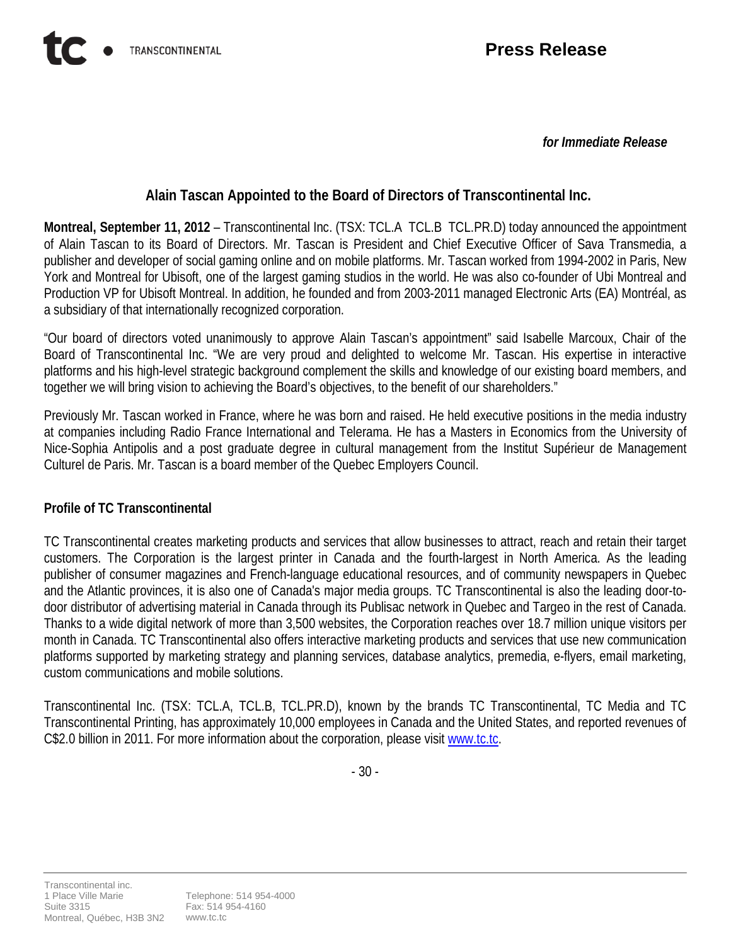*for Immediate Release*

## **Alain Tascan Appointed to the Board of Directors of Transcontinental Inc.**

**Montreal, September 11, 2012** – Transcontinental Inc. (TSX: TCL.A TCL.B TCL.PR.D) today announced the appointment of Alain Tascan to its Board of Directors. Mr. Tascan is President and Chief Executive Officer of Sava Transmedia, a publisher and developer of social gaming online and on mobile platforms. Mr. Tascan worked from 1994-2002 in Paris, New York and Montreal for Ubisoft, one of the largest gaming studios in the world. He was also co-founder of Ubi Montreal and Production VP for Ubisoft Montreal. In addition, he founded and from 2003-2011 managed Electronic Arts (EA) Montréal, as a subsidiary of that internationally recognized corporation.

"Our board of directors voted unanimously to approve Alain Tascan's appointment" said Isabelle Marcoux, Chair of the Board of Transcontinental Inc. "We are very proud and delighted to welcome Mr. Tascan. His expertise in interactive platforms and his high-level strategic background complement the skills and knowledge of our existing board members, and together we will bring vision to achieving the Board's objectives, to the benefit of our shareholders."

Previously Mr. Tascan worked in France, where he was born and raised. He held executive positions in the media industry at companies including Radio France International and Telerama. He has a Masters in Economics from the University of Nice-Sophia Antipolis and a post graduate degree in cultural management from the Institut Supérieur de Management Culturel de Paris. Mr. Tascan is a board member of the Quebec Employers Council.

## **Profile of TC Transcontinental**

TC Transcontinental creates marketing products and services that allow businesses to attract, reach and retain their target customers. The Corporation is the largest printer in Canada and the fourth-largest in North America. As the leading publisher of consumer magazines and French-language educational resources, and of community newspapers in Quebec and the Atlantic provinces, it is also one of Canada's major media groups. TC Transcontinental is also the leading door-todoor distributor of advertising material in Canada through its Publisac network in Quebec and Targeo in the rest of Canada. Thanks to a wide digital network of more than 3,500 websites, the Corporation reaches over 18.7 million unique visitors per month in Canada. TC Transcontinental also offers interactive marketing products and services that use new communication platforms supported by marketing strategy and planning services, database analytics, premedia, e-flyers, email marketing, custom communications and mobile solutions.

Transcontinental Inc. (TSX: TCL.A, TCL.B, TCL.PR.D), known by the brands TC Transcontinental, TC Media and TC Transcontinental Printing, has approximately 10,000 employees in Canada and the United States, and reported revenues of C\$2.0 billion in 2011. For more information about the corporation, please visit [www.tc.tc.](http://www.tc.tc/)

- 30 -